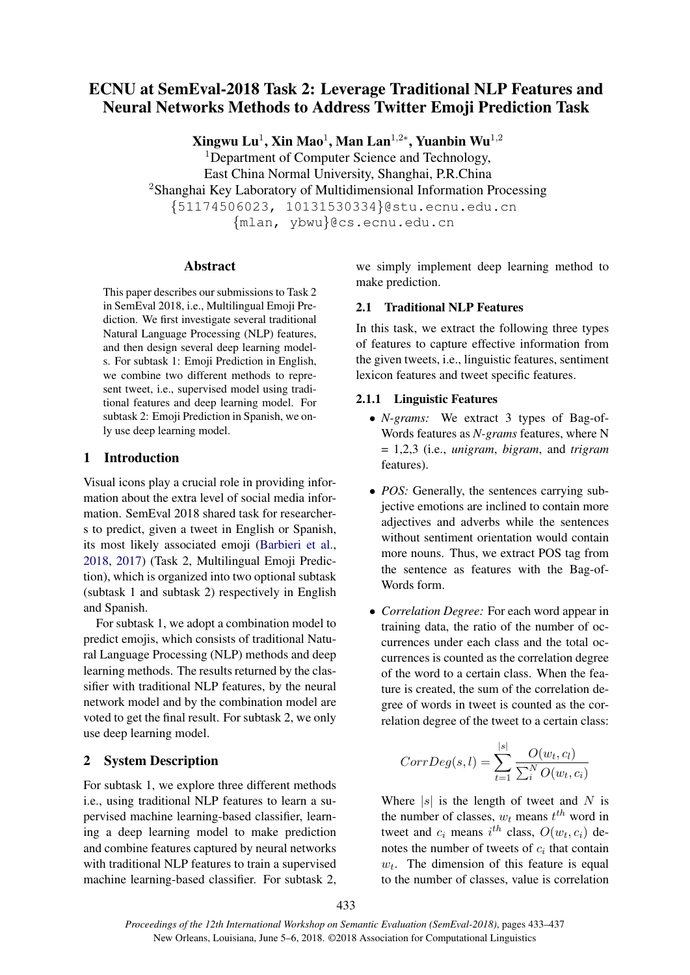# ECNU at SemEval-2018 Task 2: Leverage Traditional NLP Features and Neural Networks Methods to Address Twitter Emoji Prediction Task

Xingwu Lu $^1$ , Xin Mao $^1$ , Man Lan $^{1,2*}$ , Yuanbin Wu $^{1,2}$ 

<sup>1</sup>Department of Computer Science and Technology, East China Normal University, Shanghai, P.R.China <sup>2</sup>Shanghai Key Laboratory of Multidimensional Information Processing {51174506023, 10131530334}@stu.ecnu.edu.cn {mlan, ybwu}@cs.ecnu.edu.cn

## Abstract

This paper describes our submissions to Task 2 in SemEval 2018, i.e., Multilingual Emoji Prediction. We first investigate several traditional Natural Language Processing (NLP) features, and then design several deep learning models. For subtask 1: Emoji Prediction in English, we combine two different methods to represent tweet, i.e., supervised model using traditional features and deep learning model. For subtask 2: Emoji Prediction in Spanish, we only use deep learning model.

## 1 Introduction

Visual icons play a crucial role in providing information about the extra level of social media information. SemEval 2018 shared task for researchers to predict, given a tweet in English or Spanish, its most likely associated emoji (Barbieri et al., 2018, 2017) (Task 2, Multilingual Emoji Prediction), which is organized into two optional subtask (subtask 1 and subtask 2) respectively in English and Spanish.

For subtask 1, we adopt a combination model to predict emojis, which consists of traditional Natural Language Processing (NLP) methods and deep learning methods. The results returned by the classifier with traditional NLP features, by the neural network model and by the combination model are voted to get the final result. For subtask 2, we only use deep learning model.

## 2 System Description

For subtask 1, we explore three different methods i.e., using traditional NLP features to learn a supervised machine learning-based classifier, learning a deep learning model to make prediction and combine features captured by neural networks with traditional NLP features to train a supervised machine learning-based classifier. For subtask 2, we simply implement deep learning method to make prediction.

## 2.1 Traditional NLP Features

In this task, we extract the following three types of features to capture effective information from the given tweets, i.e., linguistic features, sentiment lexicon features and tweet specific features.

## 2.1.1 Linguistic Features

- *N-grams:* We extract 3 types of Bag-of-Words features as *N-grams* features, where N = 1,2,3 (i.e., *unigram*, *bigram*, and *trigram* features).
- *POS:* Generally, the sentences carrying subjective emotions are inclined to contain more adjectives and adverbs while the sentences without sentiment orientation would contain more nouns. Thus, we extract POS tag from the sentence as features with the Bag-of-Words form.
- *Correlation Degree:* For each word appear in training data, the ratio of the number of occurrences under each class and the total occurrences is counted as the correlation degree of the word to a certain class. When the feature is created, the sum of the correlation degree of words in tweet is counted as the correlation degree of the tweet to a certain class:

$$
CorrDeg(s, l) = \sum_{t=1}^{|s|} \frac{O(w_t, c_l)}{\sum_i^N O(w_t, c_i)}
$$

Where  $|s|$  is the length of tweet and N is the number of classes,  $w_t$  means  $t^{th}$  word in tweet and  $c_i$  means  $i^{th}$  class,  $O(w_t, c_i)$  denotes the number of tweets of  $c_i$  that contain  $w_t$ . The dimension of this feature is equal to the number of classes, value is correlation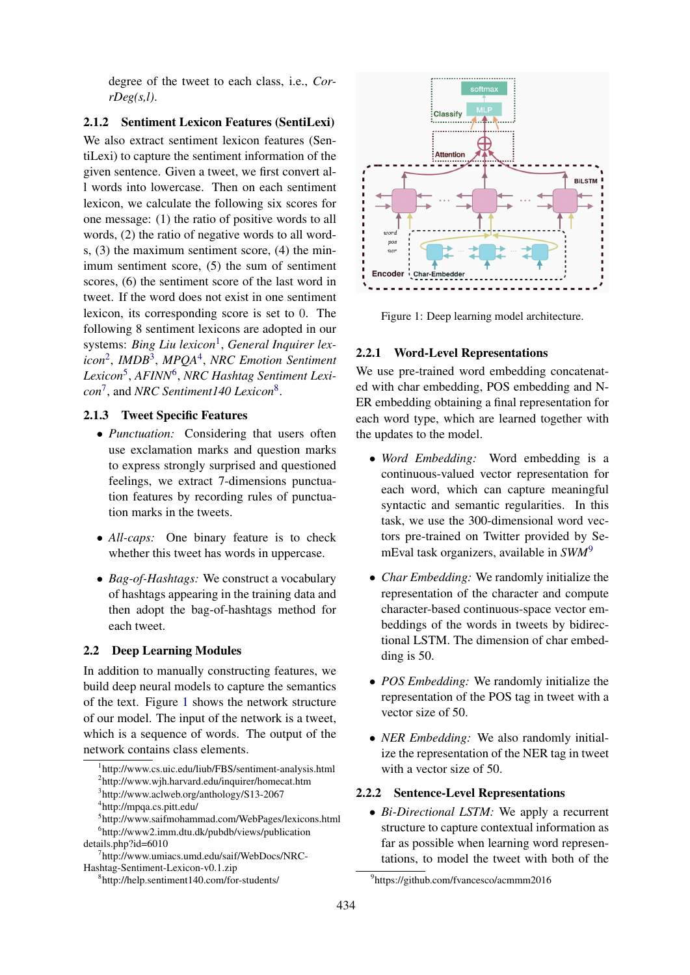degree of the tweet to each class, i.e., *CorrDeg(s,l)*.

## 2.1.2 Sentiment Lexicon Features (SentiLexi)

We also extract sentiment lexicon features (SentiLexi) to capture the sentiment information of the given sentence. Given a tweet, we first convert all words into lowercase. Then on each sentiment lexicon, we calculate the following six scores for one message: (1) the ratio of positive words to all words, (2) the ratio of negative words to all words, (3) the maximum sentiment score, (4) the minimum sentiment score, (5) the sum of sentiment scores, (6) the sentiment score of the last word in tweet. If the word does not exist in one sentiment lexicon, its corresponding score is set to 0. The following 8 sentiment lexicons are adopted in our systems: *Bing Liu lexicon*<sup>1</sup> , *General Inquirer lexicon*<sup>2</sup> , *IMDB*<sup>3</sup> , *MPQA*<sup>4</sup> , *NRC Emotion Sentiment Lexicon*<sup>5</sup> , *AFINN*<sup>6</sup> , *NRC Hashtag Sentiment Lexicon*<sup>7</sup> , and *NRC Sentiment140 Lexicon*<sup>8</sup> .

#### 2.1.3 Tweet Specific Features

- *Punctuation:* Considering that users often use exclamation marks and question marks to express strongly surprised and questioned feelings, we extract 7-dimensions punctuation features by recording rules of punctuation marks in the tweets.
- *All-caps:* One binary feature is to check whether this tweet has words in uppercase.
- *Bag-of-Hashtags:* We construct a vocabulary of hashtags appearing in the training data and then adopt the bag-of-hashtags method for each tweet.

## 2.2 Deep Learning Modules

In addition to manually constructing features, we build deep neural models to capture the semantics of the text. Figure 1 shows the network structure of our model. The input of the network is a tweet, which is a sequence of words. The output of the network contains class elements.



Figure 1: Deep learning model architecture.

## 2.2.1 Word-Level Representations

We use pre-trained word embedding concatenated with char embedding, POS embedding and N-ER embedding obtaining a final representation for each word type, which are learned together with the updates to the model.

- *Word Embedding:* Word embedding is a continuous-valued vector representation for each word, which can capture meaningful syntactic and semantic regularities. In this task, we use the 300-dimensional word vectors pre-trained on Twitter provided by SemEval task organizers, available in *SWM*<sup>9</sup>
- *Char Embedding:* We randomly initialize the representation of the character and compute character-based continuous-space vector embeddings of the words in tweets by bidirectional LSTM. The dimension of char embedding is 50.
- *POS Embedding:* We randomly initialize the representation of the POS tag in tweet with a vector size of 50.
- *NER Embedding:* We also randomly initialize the representation of the NER tag in tweet with a vector size of 50.

#### 2.2.2 Sentence-Level Representations

• *Bi-Directional LSTM:* We apply a recurrent structure to capture contextual information as far as possible when learning word representations, to model the tweet with both of the

<sup>1</sup> http://www.cs.uic.edu/liub/FBS/sentiment-analysis.html

<sup>2</sup> http://www.wjh.harvard.edu/inquirer/homecat.htm 3 http://www.aclweb.org/anthology/S13-2067

<sup>4</sup> http://mpqa.cs.pitt.edu/

<sup>5</sup> http://www.saifmohammad.com/WebPages/lexicons.html 6 http://www2.imm.dtu.dk/pubdb/views/publication details.php?id=6010

<sup>7</sup> http://www.umiacs.umd.edu/saif/WebDocs/NRC-Hashtag-Sentiment-Lexicon-v0.1.zip

<sup>8</sup> http://help.sentiment140.com/for-students/

<sup>9</sup> https://github.com/fvancesco/acmmm2016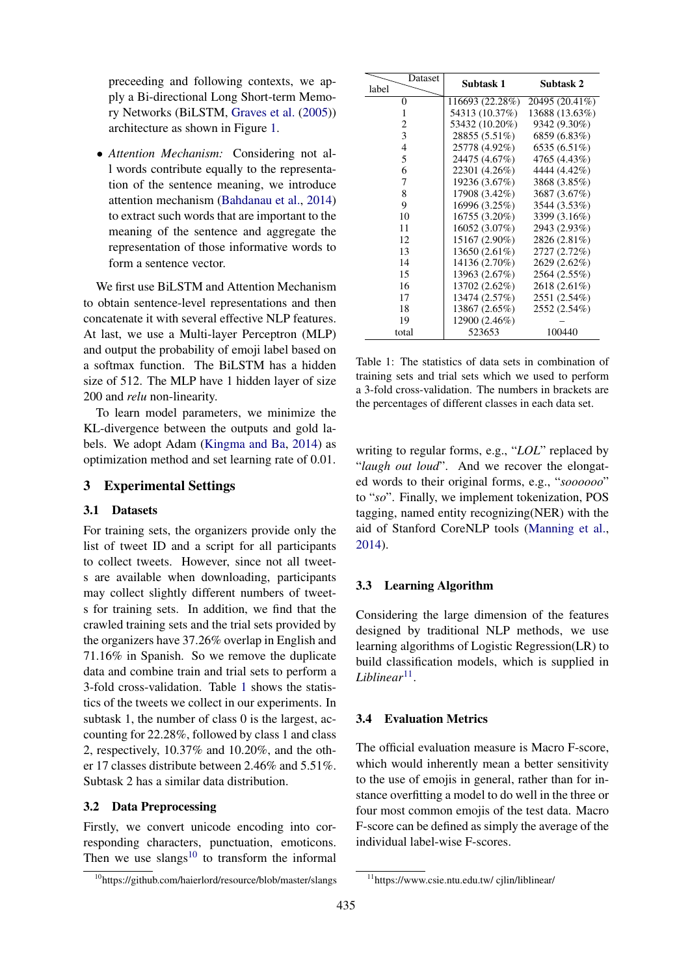preceeding and following contexts, we apply a Bi-directional Long Short-term Memory Networks (BiLSTM, Graves et al. (2005)) architecture as shown in Figure 1.

• *Attention Mechanism:* Considering not all words contribute equally to the representation of the sentence meaning, we introduce attention mechanism (Bahdanau et al., 2014) to extract such words that are important to the meaning of the sentence and aggregate the representation of those informative words to form a sentence vector.

We first use BiLSTM and Attention Mechanism to obtain sentence-level representations and then concatenate it with several effective NLP features. At last, we use a Multi-layer Perceptron (MLP) and output the probability of emoji label based on a softmax function. The BiLSTM has a hidden size of 512. The MLP have 1 hidden layer of size 200 and *relu* non-linearity.

To learn model parameters, we minimize the KL-divergence between the outputs and gold labels. We adopt Adam (Kingma and Ba, 2014) as optimization method and set learning rate of 0.01.

### 3 Experimental Settings

#### 3.1 Datasets

For training sets, the organizers provide only the list of tweet ID and a script for all participants to collect tweets. However, since not all tweets are available when downloading, participants may collect slightly different numbers of tweets for training sets. In addition, we find that the crawled training sets and the trial sets provided by the organizers have 37.26% overlap in English and 71.16% in Spanish. So we remove the duplicate data and combine train and trial sets to perform a 3-fold cross-validation. Table 1 shows the statistics of the tweets we collect in our experiments. In subtask 1, the number of class 0 is the largest, accounting for 22.28%, followed by class 1 and class 2, respectively, 10.37% and 10.20%, and the other 17 classes distribute between 2.46% and 5.51%. Subtask 2 has a similar data distribution.

### 3.2 Data Preprocessing

Firstly, we convert unicode encoding into corresponding characters, punctuation, emoticons. Then we use slangs $10$  to transform the informal

| Dataset        | Subtask 1       | Subtask 2      |
|----------------|-----------------|----------------|
| label          |                 |                |
| 0              | 116693 (22.28%) | 20495 (20.41%) |
| 1              | 54313 (10.37%)  | 13688 (13.63%) |
| 2              | 53432 (10.20%)  | 9342 (9.30%)   |
| 3              | 28855 (5.51%)   | 6859 (6.83%)   |
| $\overline{4}$ | 25778 (4.92%)   | 6535 (6.51%)   |
| 5              | 24475 (4.67%)   | 4765 (4.43%)   |
| 6              | 22301 (4.26%)   | 4444 (4.42%)   |
| 7              | 19236 (3.67%)   | 3868 (3.85%)   |
| 8              | 17908 (3.42%)   | 3687 (3.67%)   |
| 9              | 16996 (3.25%)   | 3544 (3.53%)   |
| 10             | 16755 (3.20%)   | 3399 (3.16%)   |
| 11             | 16052 (3.07%)   | 2943 (2.93%)   |
| 12             | 15167 (2.90%)   | 2826 (2.81%)   |
| 13             | 13650 (2.61%)   | 2727 (2.72%)   |
| 14             | 14136 (2.70%)   | 2629 (2.62%)   |
| 15             | 13963 (2.67%)   | 2564 (2.55%)   |
| 16             | 13702 (2.62%)   | 2618 (2.61%)   |
| 17             | 13474 (2.57%)   | 2551 (2.54%)   |
| 18             | 13867 (2.65%)   | 2552 (2.54%)   |
| 19             | 12900 (2.46%)   |                |
| total          | 523653          | 100440         |

Table 1: The statistics of data sets in combination of training sets and trial sets which we used to perform a 3-fold cross-validation. The numbers in brackets are the percentages of different classes in each data set.

writing to regular forms, e.g., "*LOL*" replaced by "*laugh out loud*". And we recover the elongated words to their original forms, e.g., "*soooooo*" to "*so*". Finally, we implement tokenization, POS tagging, named entity recognizing(NER) with the aid of Stanford CoreNLP tools (Manning et al., 2014).

#### 3.3 Learning Algorithm

Considering the large dimension of the features designed by traditional NLP methods, we use learning algorithms of Logistic Regression(LR) to build classification models, which is supplied in *Liblinear*<sup>11</sup> .

## 3.4 Evaluation Metrics

The official evaluation measure is Macro F-score, which would inherently mean a better sensitivity to the use of emojis in general, rather than for instance overfitting a model to do well in the three or four most common emojis of the test data. Macro F-score can be defined as simply the average of the individual label-wise F-scores.

<sup>10</sup>https://github.com/haierlord/resource/blob/master/slangs

<sup>11</sup>https://www.csie.ntu.edu.tw/ cjlin/liblinear/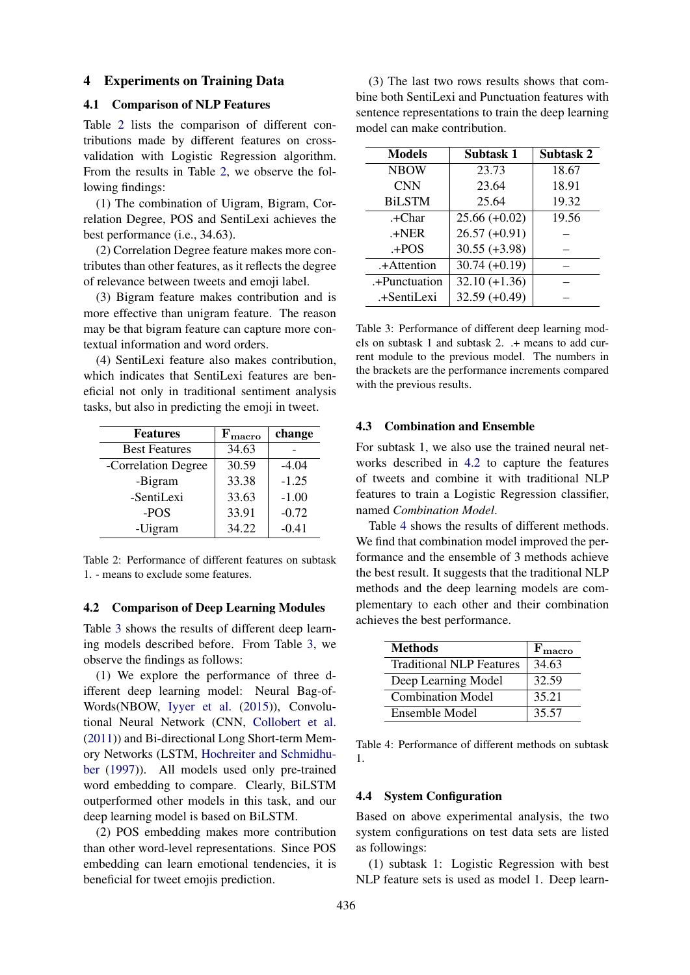#### 4 Experiments on Training Data

### 4.1 Comparison of NLP Features

Table 2 lists the comparison of different contributions made by different features on crossvalidation with Logistic Regression algorithm. From the results in Table 2, we observe the following findings:

(1) The combination of Uigram, Bigram, Correlation Degree, POS and SentiLexi achieves the best performance (i.e., 34.63).

(2) Correlation Degree feature makes more contributes than other features, as it reflects the degree of relevance between tweets and emoji label.

(3) Bigram feature makes contribution and is more effective than unigram feature. The reason may be that bigram feature can capture more contextual information and word orders.

(4) SentiLexi feature also makes contribution, which indicates that SentiLexi features are beneficial not only in traditional sentiment analysis tasks, but also in predicting the emoji in tweet.

| <b>Features</b>      | $\mathbf{F}_{\text{macro}}$ | change  |
|----------------------|-----------------------------|---------|
| <b>Best Features</b> | 34.63                       |         |
| -Correlation Degree  | 30.59                       | $-4.04$ |
| -Bigram              | 33.38                       | $-1.25$ |
| -SentiLexi           | 33.63                       | $-1.00$ |
| -POS                 | 33.91                       | $-0.72$ |
| -Uigram              | 34.22                       | $-0.41$ |

Table 2: Performance of different features on subtask 1. - means to exclude some features.

#### 4.2 Comparison of Deep Learning Modules

Table 3 shows the results of different deep learning models described before. From Table 3, we observe the findings as follows:

(1) We explore the performance of three different deep learning model: Neural Bag-of-Words(NBOW, Iyyer et al. (2015)), Convolutional Neural Network (CNN, Collobert et al. (2011)) and Bi-directional Long Short-term Memory Networks (LSTM, Hochreiter and Schmidhuber (1997)). All models used only pre-trained word embedding to compare. Clearly, BiLSTM outperformed other models in this task, and our deep learning model is based on BiLSTM.

(2) POS embedding makes more contribution than other word-level representations. Since POS embedding can learn emotional tendencies, it is beneficial for tweet emojis prediction.

(3) The last two rows results shows that combine both SentiLexi and Punctuation features with sentence representations to train the deep learning model can make contribution.

| <b>Models</b> | Subtask 1       | Subtask 2 |
|---------------|-----------------|-----------|
| <b>NBOW</b>   | 23.73           | 18.67     |
| <b>CNN</b>    | 23.64           | 18.91     |
| <b>BiLSTM</b> | 25.64           | 19.32     |
| .+Char        | $25.66 (+0.02)$ | 19.56     |
| $+NER$        | $26.57 (+0.91)$ |           |
| $+POS$        | $30.55 (+3.98)$ |           |
| .+Attention   | $30.74 (+0.19)$ |           |
| .+Punctuation | $32.10 (+1.36)$ |           |
| .+SentiLexi   | $32.59 (+0.49)$ |           |

Table 3: Performance of different deep learning models on subtask 1 and subtask 2. .+ means to add current module to the previous model. The numbers in the brackets are the performance increments compared with the previous results.

#### 4.3 Combination and Ensemble

For subtask 1, we also use the trained neural networks described in 4.2 to capture the features of tweets and combine it with traditional NLP features to train a Logistic Regression classifier, named *Combination Model*.

Table 4 shows the results of different methods. We find that combination model improved the performance and the ensemble of 3 methods achieve the best result. It suggests that the traditional NLP methods and the deep learning models are complementary to each other and their combination achieves the best performance.

| <b>Methods</b>                  | $F_{macro}$ |
|---------------------------------|-------------|
| <b>Traditional NLP Features</b> | 34.63       |
| Deep Learning Model             | 32.59       |
| <b>Combination Model</b>        | 35.21       |
| Ensemble Model                  | 35.57       |

Table 4: Performance of different methods on subtask 1.

#### 4.4 System Configuration

Based on above experimental analysis, the two system configurations on test data sets are listed as followings:

(1) subtask 1: Logistic Regression with best NLP feature sets is used as model 1. Deep learn